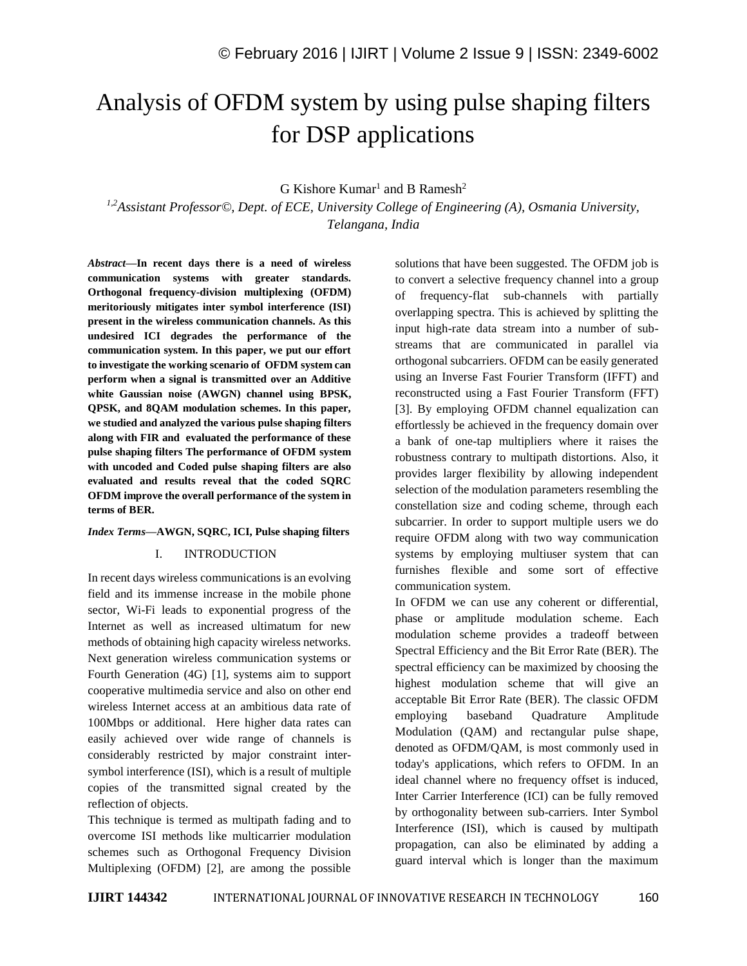# Analysis of OFDM system by using pulse shaping filters for DSP applications

## $G$  Kishore Kumar<sup>1</sup> and B Ramesh<sup>2</sup>

*1,2Assistant Professor©, Dept. of ECE, University College of Engineering (A), Osmania University, Telangana, India*

*Abstract—***In recent days there is a need of wireless communication systems with greater standards. Orthogonal frequency-division multiplexing (OFDM) meritoriously mitigates inter symbol interference (ISI) present in the wireless communication channels. As this undesired ICI degrades the performance of the communication system. In this paper, we put our effort to investigate the working scenario of OFDM system can perform when a signal is transmitted over an Additive white Gaussian noise (AWGN) channel using BPSK, QPSK, and 8QAM modulation schemes. In this paper, we studied and analyzed the various pulse shaping filters along with FIR and evaluated the performance of these pulse shaping filters The performance of OFDM system with uncoded and Coded pulse shaping filters are also evaluated and results reveal that the coded SQRC OFDM improve the overall performance of the system in terms of BER.**

## *Index Terms—***AWGN, SQRC, ICI, Pulse shaping filters**

## I. INTRODUCTION

In recent days wireless communications is an evolving field and its immense increase in the mobile phone sector, Wi-Fi leads to exponential progress of the Internet as well as increased ultimatum for new methods of obtaining high capacity wireless networks. Next generation wireless communication systems or Fourth Generation (4G) [1], systems aim to support cooperative multimedia service and also on other end wireless Internet access at an ambitious data rate of 100Mbps or additional. Here higher data rates can easily achieved over wide range of channels is considerably restricted by major constraint intersymbol interference (ISI), which is a result of multiple copies of the transmitted signal created by the reflection of objects.

This technique is termed as multipath fading and to overcome ISI methods like multicarrier modulation schemes such as Orthogonal Frequency Division Multiplexing (OFDM) [2], are among the possible solutions that have been suggested. The OFDM job is to convert a selective frequency channel into a group of frequency-flat sub-channels with partially overlapping spectra. This is achieved by splitting the input high-rate data stream into a number of substreams that are communicated in parallel via orthogonal subcarriers. OFDM can be easily generated using an Inverse Fast Fourier Transform (IFFT) and reconstructed using a Fast Fourier Transform (FFT) [3]. By employing OFDM channel equalization can effortlessly be achieved in the frequency domain over a bank of one-tap multipliers where it raises the robustness contrary to multipath distortions. Also, it provides larger flexibility by allowing independent selection of the modulation parameters resembling the constellation size and coding scheme, through each subcarrier. In order to support multiple users we do require OFDM along with two way communication systems by employing multiuser system that can furnishes flexible and some sort of effective communication system.

In OFDM we can use any coherent or differential, phase or amplitude modulation scheme. Each modulation scheme provides a tradeoff between Spectral Efficiency and the Bit Error Rate (BER). The spectral efficiency can be maximized by choosing the highest modulation scheme that will give an acceptable Bit Error Rate (BER). The classic OFDM employing baseband Quadrature Amplitude Modulation (QAM) and rectangular pulse shape, denoted as OFDM/QAM, is most commonly used in today's applications, which refers to OFDM. In an ideal channel where no frequency offset is induced, Inter Carrier Interference (ICI) can be fully removed by orthogonality between sub-carriers. Inter Symbol Interference (ISI), which is caused by multipath propagation, can also be eliminated by adding a guard interval which is longer than the maximum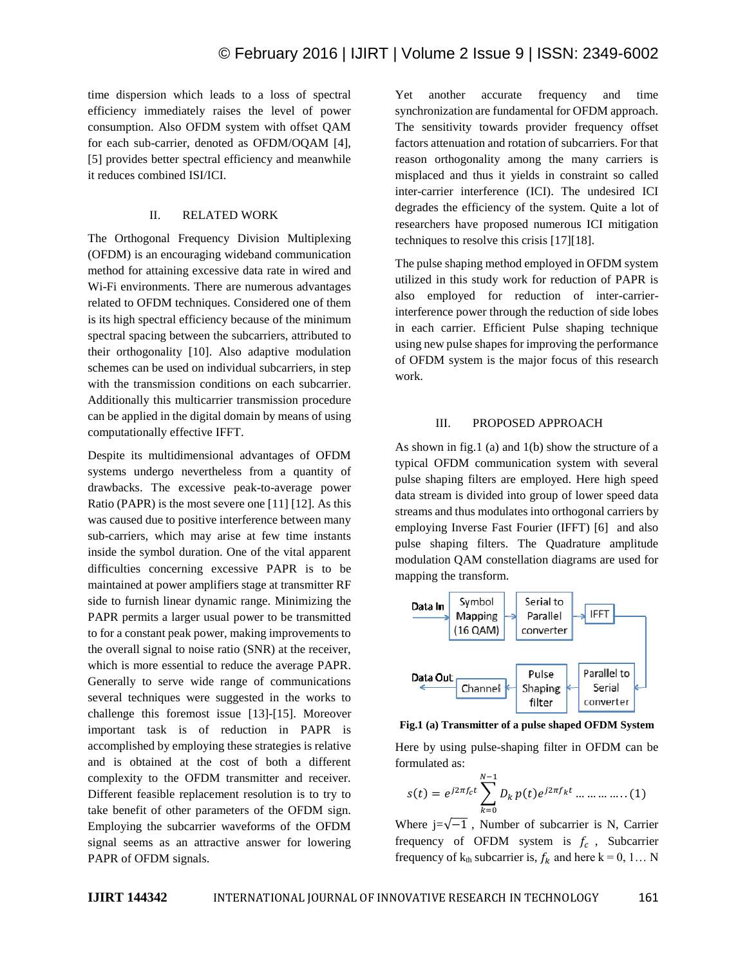time dispersion which leads to a loss of spectral efficiency immediately raises the level of power consumption. Also OFDM system with offset QAM for each sub-carrier, denoted as OFDM/OQAM [4], [5] provides better spectral efficiency and meanwhile it reduces combined ISI/ICI.

## II. RELATED WORK

The Orthogonal Frequency Division Multiplexing (OFDM) is an encouraging wideband communication method for attaining excessive data rate in wired and Wi-Fi environments. There are numerous advantages related to OFDM techniques. Considered one of them is its high spectral efficiency because of the minimum spectral spacing between the subcarriers, attributed to their orthogonality [10]. Also adaptive modulation schemes can be used on individual subcarriers, in step with the transmission conditions on each subcarrier. Additionally this multicarrier transmission procedure can be applied in the digital domain by means of using computationally effective IFFT.

Despite its multidimensional advantages of OFDM systems undergo nevertheless from a quantity of drawbacks. The excessive peak-to-average power Ratio (PAPR) is the most severe one [11] [12]. As this was caused due to positive interference between many sub-carriers, which may arise at few time instants inside the symbol duration. One of the vital apparent difficulties concerning excessive PAPR is to be maintained at power amplifiers stage at transmitter RF side to furnish linear dynamic range. Minimizing the PAPR permits a larger usual power to be transmitted to for a constant peak power, making improvements to the overall signal to noise ratio (SNR) at the receiver, which is more essential to reduce the average PAPR. Generally to serve wide range of communications several techniques were suggested in the works to challenge this foremost issue [13]-[15]. Moreover important task is of reduction in PAPR is accomplished by employing these strategies is relative and is obtained at the cost of both a different complexity to the OFDM transmitter and receiver. Different feasible replacement resolution is to try to take benefit of other parameters of the OFDM sign. Employing the subcarrier waveforms of the OFDM signal seems as an attractive answer for lowering PAPR of OFDM signals.

Yet another accurate frequency and time synchronization are fundamental for OFDM approach. The sensitivity towards provider frequency offset factors attenuation and rotation of subcarriers. For that reason orthogonality among the many carriers is misplaced and thus it yields in constraint so called inter-carrier interference (ICI). The undesired ICI degrades the efficiency of the system. Quite a lot of researchers have proposed numerous ICI mitigation techniques to resolve this crisis [17][18].

The pulse shaping method employed in OFDM system utilized in this study work for reduction of PAPR is also employed for reduction of inter-carrierinterference power through the reduction of side lobes in each carrier. Efficient Pulse shaping technique using new pulse shapes for improving the performance of OFDM system is the major focus of this research work.

## III. PROPOSED APPROACH

As shown in fig.1 (a) and 1(b) show the structure of a typical OFDM communication system with several pulse shaping filters are employed. Here high speed data stream is divided into group of lower speed data streams and thus modulates into orthogonal carriers by employing Inverse Fast Fourier (IFFT) [6] and also pulse shaping filters. The Quadrature amplitude modulation QAM constellation diagrams are used for mapping the transform.



**Fig.1 (a) Transmitter of a pulse shaped OFDM System**

Here by using pulse-shaping filter in OFDM can be formulated as:

$$
s(t) = e^{j2\pi f_c t} \sum_{k=0}^{N-1} D_k p(t) e^{j2\pi f_k t} \dots \dots \dots \dots (1)
$$

Where  $j=\sqrt{-1}$ , Number of subcarrier is N, Carrier frequency of OFDM system is  $f_c$ , Subcarrier frequency of  $k_{th}$  subcarrier is,  $f_k$  and here  $k = 0, 1... N$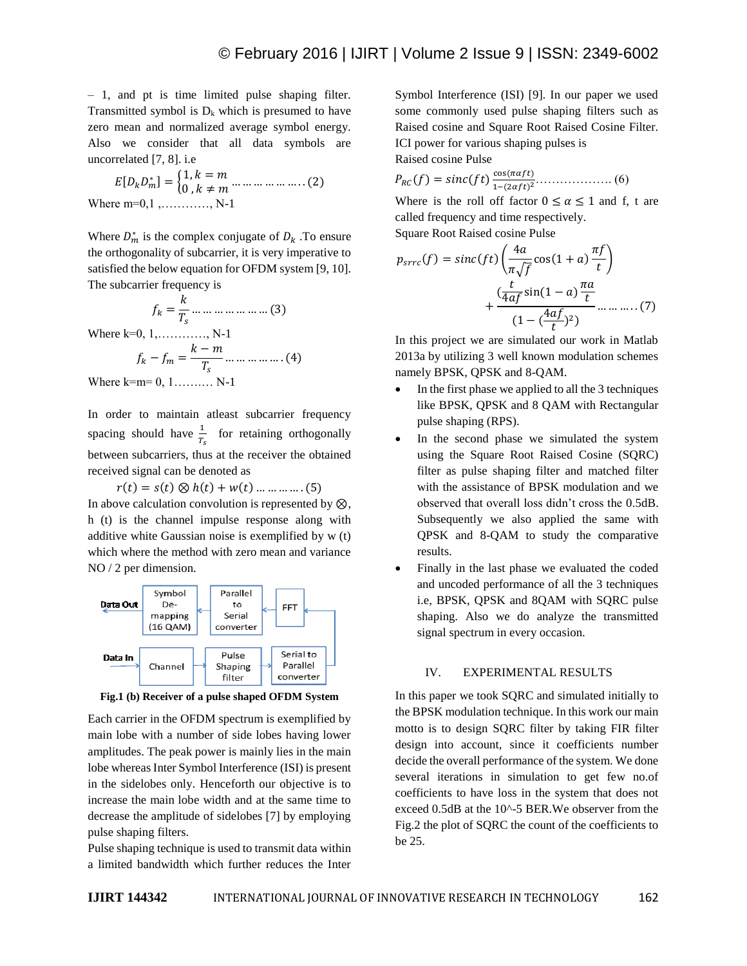– 1, and pt is time limited pulse shaping filter. Transmitted symbol is  $D_k$  which is presumed to have zero mean and normalized average symbol energy. Also we consider that all data symbols are uncorrelated [7, 8]. i.e

$$
E[D_k D_m^*] = \begin{cases} 1, k = m \\ 0, k \neq m \end{cases} \dots \dots \dots \dots \dots \dots (2)
$$
  
Where m=0,1, ........., N-1

Where  $D_m^*$  is the complex conjugate of  $D_k$ . To ensure the orthogonality of subcarrier, it is very imperative to satisfied the below equation for OFDM system [9, 10]. The subcarrier frequency is

$$
f_k = \frac{k}{T_s} \dots \dots \dots \dots \dots \dots \dots (3)
$$
  
Where k=0, 1, ..., ..., N-1  

$$
f_k - f_m = \frac{k-m}{T_s} \dots \dots \dots \dots (4)
$$
  
Where k=m= 0, 1, ..., N-1

In order to maintain atleast subcarrier frequency spacing should have  $\frac{1}{T_s}$  for retaining orthogonally between subcarriers, thus at the receiver the obtained received signal can be denoted as

 $r(t) = s(t) \otimes h(t) + w(t)$  … … … … . (5) In above calculation convolution is represented by  $\otimes$ , h (t) is the channel impulse response along with additive white Gaussian noise is exemplified by w (t) which where the method with zero mean and variance NO / 2 per dimension.



**Fig.1 (b) Receiver of a pulse shaped OFDM System**

Each carrier in the OFDM spectrum is exemplified by main lobe with a number of side lobes having lower amplitudes. The peak power is mainly lies in the main lobe whereas Inter Symbol Interference (ISI) is present in the sidelobes only. Henceforth our objective is to increase the main lobe width and at the same time to decrease the amplitude of sidelobes [7] by employing pulse shaping filters.

Pulse shaping technique is used to transmit data within a limited bandwidth which further reduces the Inter Symbol Interference (ISI) [9]. In our paper we used some commonly used pulse shaping filters such as Raised cosine and Square Root Raised Cosine Filter. ICI power for various shaping pulses is

Raised cosine Pulse

 $P_{RC}(f) = sinc(ft)\frac{\cos(\pi \alpha f t)}{1-(2\alpha f t)^2}$ 1−(2) <sup>2</sup>………………. (6)

Where is the roll off factor  $0 \le \alpha \le 1$  and f, t are called frequency and time respectively. Square Root Raised cosine Pulse

$$
p_{src}(f) = sinc(ft)\left(\frac{4a}{\pi\sqrt{f}}cos(1+a)\frac{\pi f}{t}\right)
$$

$$
+\frac{\left(\frac{t}{4af}sin(1-a)\frac{\pi a}{t}\right)}{(1-\left(\frac{4af}{t}\right)^2)}\dots\dots\dots(7)
$$

In this project we are simulated our work in Matlab 2013a by utilizing 3 well known modulation schemes namely BPSK, QPSK and 8-QAM.

- In the first phase we applied to all the 3 techniques like BPSK, QPSK and 8 QAM with Rectangular pulse shaping (RPS).
- In the second phase we simulated the system using the Square Root Raised Cosine (SQRC) filter as pulse shaping filter and matched filter with the assistance of BPSK modulation and we observed that overall loss didn't cross the 0.5dB. Subsequently we also applied the same with QPSK and 8-QAM to study the comparative results.
- Finally in the last phase we evaluated the coded and uncoded performance of all the 3 techniques i.e, BPSK, QPSK and 8QAM with SQRC pulse shaping. Also we do analyze the transmitted signal spectrum in every occasion.

# IV. EXPERIMENTAL RESULTS

In this paper we took SQRC and simulated initially to the BPSK modulation technique. In this work our main motto is to design SQRC filter by taking FIR filter design into account, since it coefficients number decide the overall performance of the system. We done several iterations in simulation to get few no.of coefficients to have loss in the system that does not exceed 0.5dB at the 10^-5 BER.We observer from the Fig.2 the plot of SQRC the count of the coefficients to be 25.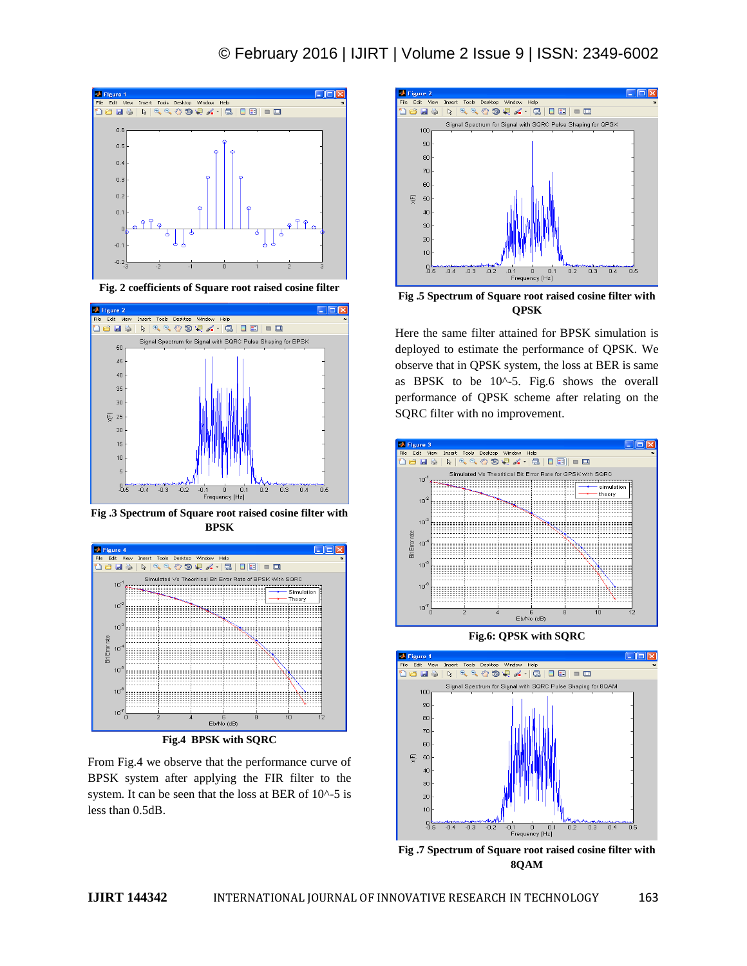

**Fig. 2 coefficients of Square root raised cosine filter**



**Fig .3 Spectrum of Square root raised cosine filter with BPSK**



**Fig.4 BPSK with SQRC**

From Fig.4 we observe that the performance curve of BPSK system after applying the FIR filter to the system. It can be seen that the loss at BER of 10^-5 is less than 0.5dB.



**Fig .5 Spectrum of Square root raised cosine filter with QPSK**

Here the same filter attained for BPSK simulation is deployed to estimate the performance of QPSK. We observe that in QPSK system, the loss at BER is same as BPSK to be 10^-5. Fig.6 shows the overall performance of QPSK scheme after relating on the SQRC filter with no improvement.



**Fig.6: QPSK with SQRC**



**Fig .7 Spectrum of Square root raised cosine filter with 8QAM**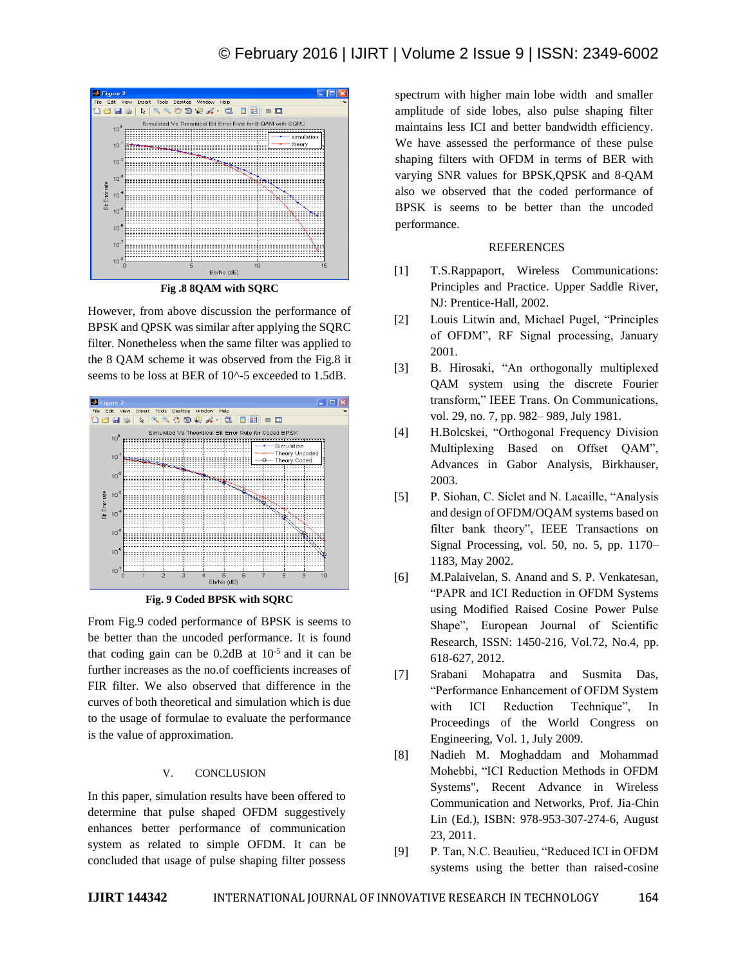

**Fig .8 8QAM with SQRC**

However, from above discussion the performance of BPSK and QPSK was similar after applying the SQRC filter. Nonetheless when the same filter was applied to the 8 QAM scheme it was observed from the Fig.8 it seems to be loss at BER of 10^-5 exceeded to 1.5dB.



**Fig. 9 Coded BPSK with SQRC**

From Fig.9 coded performance of BPSK is seems to be better than the uncoded performance. It is found that coding gain can be  $0.2$ dB at  $10^{-5}$  and it can be further increases as the no.of coefficients increases of FIR filter. We also observed that difference in the curves of both theoretical and simulation which is due to the usage of formulae to evaluate the performance is the value of approximation.

## V. CONCLUSION

In this paper, simulation results have been offered to determine that pulse shaped OFDM suggestively enhances better performance of communication system as related to simple OFDM. It can be concluded that usage of pulse shaping filter possess

spectrum with higher main lobe width and smaller amplitude of side lobes, also pulse shaping filter maintains less ICI and better bandwidth efficiency. We have assessed the performance of these pulse shaping filters with OFDM in terms of BER with varying SNR values for BPSK,QPSK and 8-QAM also we observed that the coded performance of BPSK is seems to be better than the uncoded performance.

## REFERENCES

- [1] T.S.Rappaport, Wireless Communications: Principles and Practice. Upper Saddle River, NJ: Prentice-Hall, 2002.
- [2] Louis Litwin and, Michael Pugel, "Principles of OFDM", RF Signal processing, January 2001.
- [3] B. Hirosaki, "An orthogonally multiplexed QAM system using the discrete Fourier transform," IEEE Trans. On Communications, vol. 29, no. 7, pp. 982– 989, July 1981.
- [4] H.Bolcskei, "Orthogonal Frequency Division Multiplexing Based on Offset QAM", Advances in Gabor Analysis, Birkhauser, 2003.
- [5] P. Siohan, C. Siclet and N. Lacaille, "Analysis and design of OFDM/OQAM systems based on filter bank theory", IEEE Transactions on Signal Processing, vol. 50, no. 5, pp. 1170– 1183, May 2002.
- [6] M.Palaivelan, S. Anand and S. P. Venkatesan, "PAPR and ICI Reduction in OFDM Systems using Modified Raised Cosine Power Pulse Shape", European Journal of Scientific Research, ISSN: 1450-216, Vol.72, No.4, pp. 618-627, 2012.
- [7] Srabani Mohapatra and Susmita Das, "Performance Enhancement of OFDM System with ICI Reduction Technique", In Proceedings of the World Congress on Engineering, Vol. 1, July 2009.
- [8] Nadieh M. Moghaddam and Mohammad Mohebbi, "ICI Reduction Methods in OFDM Systems", Recent Advance in Wireless Communication and Networks, Prof. Jia-Chin Lin (Ed.), ISBN: 978-953-307-274-6, August 23, 2011.
- [9] P. Tan, N.C. Beaulieu, "Reduced ICI in OFDM systems using the better than raised-cosine